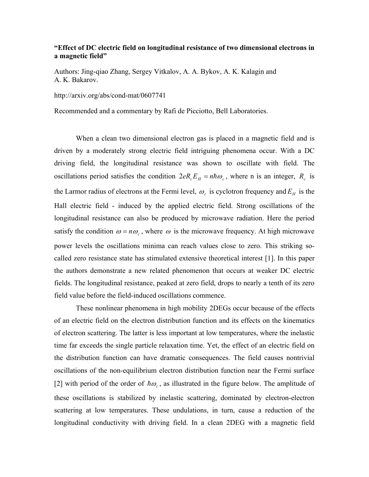## **"Effect of DC electric field on longitudinal resistance of two dimensional electrons in a magnetic field"**

Authors: Jing-qiao Zhang, Sergey Vitkalov, A. A. Bykov, A. K. Kalagin and A. K. Bakarov.

http://arxiv.org/abs/cond-mat/0607741

Recommended and a commentary by Rafi de Picciotto, Bell Laboratories.

When a clean two dimensional electron gas is placed in a magnetic field and is driven by a moderately strong electric field intriguing phenomena occur. With a DC driving field, the longitudinal resistance was shown to oscillate with field. The oscillations period satisfies the condition  $2eR_cE_H = n\hbar\omega_c$ , where n is an integer,  $R_c$  is the Larmor radius of electrons at the Fermi level,  $\omega_c$  is cyclotron frequency and  $E_H$  is the Hall electric field - induced by the applied electric field. Strong oscillations of the longitudinal resistance can also be produced by microwave radiation. Here the period satisfy the condition  $\omega = n\omega_c$ , where  $\omega$  is the microwave frequency. At high microwave power levels the oscillations minima can reach values close to zero. This striking socalled zero resistance state has stimulated extensive theoretical interest [1]. In this paper the authors demonstrate a new related phenomenon that occurs at weaker DC electric fields. The longitudinal resistance, peaked at zero field, drops to nearly a tenth of its zero field value before the field-induced oscillations commence.

These nonlinear phenomena in high mobility 2DEGs occur because of the effects of an electric field on the electron distribution function and its effects on the kinematics of electron scattering. The latter is less important at low temperatures, where the inelastic time far exceeds the single particle relaxation time. Yet, the effect of an electric field on the distribution function can have dramatic consequences. The field causes nontrivial oscillations of the non-equilibrium electron distribution function near the Fermi surface [2] with period of the order of  $\hbar \omega_c$ , as illustrated in the figure below. The amplitude of these oscillations is stabilized by inelastic scattering, dominated by electron-electron scattering at low temperatures. These undulations, in turn, cause a reduction of the longitudinal conductivity with driving field. In a clean 2DEG with a magnetic field